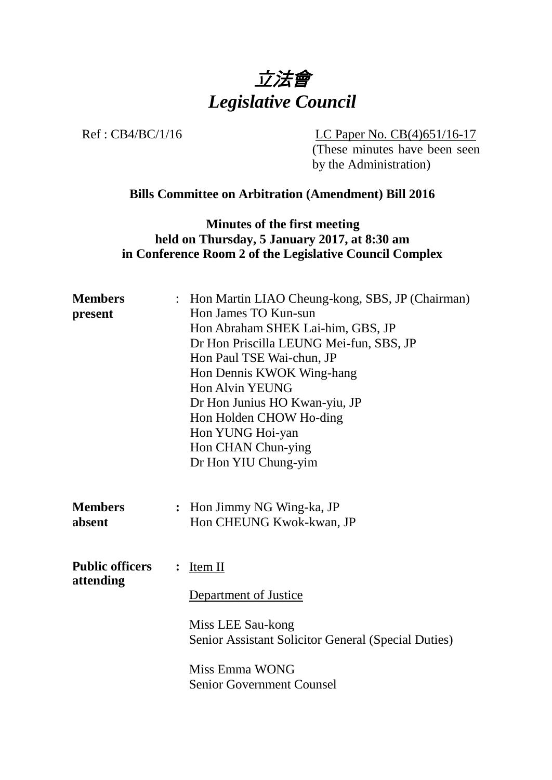

Ref : CB4/BC/1/16 LC Paper No. CB(4)651/16-17

(These minutes have been seen by the Administration)

#### **Bills Committee on Arbitration (Amendment) Bill 2016**

**Minutes of the first meeting held on Thursday, 5 January 2017, at 8:30 am in Conference Room 2 of the Legislative Council Complex**

| <b>Members</b>           | : Hon Martin LIAO Cheung-kong, SBS, JP (Chairman)                      |
|--------------------------|------------------------------------------------------------------------|
| present                  | Hon James TO Kun-sun                                                   |
|                          | Hon Abraham SHEK Lai-him, GBS, JP                                      |
|                          | Dr Hon Priscilla LEUNG Mei-fun, SBS, JP                                |
|                          | Hon Paul TSE Wai-chun, JP                                              |
|                          | Hon Dennis KWOK Wing-hang                                              |
|                          | Hon Alvin YEUNG                                                        |
|                          | Dr Hon Junius HO Kwan-yiu, JP                                          |
|                          | Hon Holden CHOW Ho-ding                                                |
|                          | Hon YUNG Hoi-yan                                                       |
|                          | Hon CHAN Chun-ying                                                     |
|                          | Dr Hon YIU Chung-yim                                                   |
| <b>Members</b><br>absent | Hon Jimmy NG Wing-ka, JP<br>$\ddot{\cdot}$<br>Hon CHEUNG Kwok-kwan, JP |
| <b>Public officers</b>   | Item II<br>$\ddot{\cdot}$                                              |
| attending                | Department of Justice                                                  |
|                          | Miss LEE Sau-kong                                                      |
|                          | Senior Assistant Solicitor General (Special Duties)                    |
|                          | Miss Emma WONG                                                         |
|                          | <b>Senior Government Counsel</b>                                       |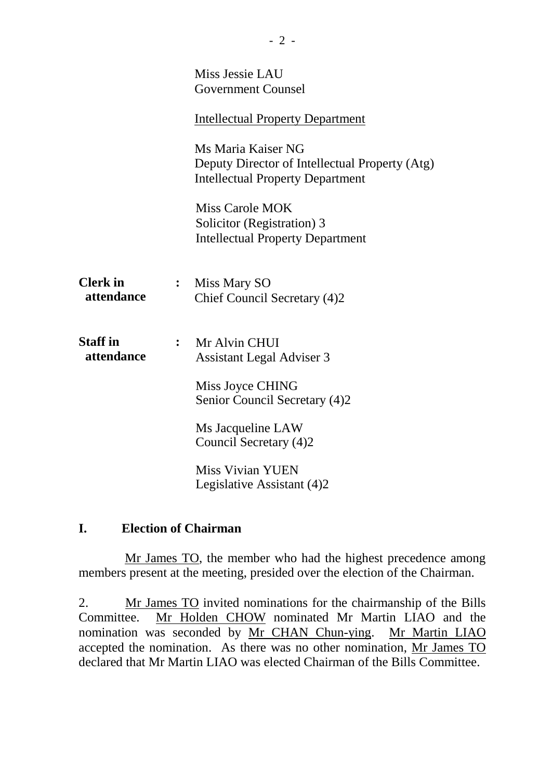|                               |                | Miss Jessie LAU<br>Government Counsel                                                                           |
|-------------------------------|----------------|-----------------------------------------------------------------------------------------------------------------|
|                               |                | <b>Intellectual Property Department</b>                                                                         |
|                               |                | Ms Maria Kaiser NG<br>Deputy Director of Intellectual Property (Atg)<br><b>Intellectual Property Department</b> |
|                               |                | <b>Miss Carole MOK</b><br>Solicitor (Registration) 3<br><b>Intellectual Property Department</b>                 |
| <b>Clerk</b> in<br>attendance | $\ddot{\cdot}$ | Miss Mary SO<br>Chief Council Secretary (4)2                                                                    |
| <b>Staff</b> in<br>attendance |                | Mr Alvin CHUI<br><b>Assistant Legal Adviser 3</b>                                                               |
|                               |                | Miss Joyce CHING<br>Senior Council Secretary (4)2                                                               |
|                               |                | Ms Jacqueline LAW<br>Council Secretary (4)2                                                                     |
|                               |                | <b>Miss Vivian YUEN</b><br>Legislative Assistant (4)2                                                           |

#### **I. Election of Chairman**

Mr James TO, the member who had the highest precedence among members present at the meeting, presided over the election of the Chairman.

2. Mr James TO invited nominations for the chairmanship of the Bills Committee. Mr Holden CHOW nominated Mr Martin LIAO and the nomination was seconded by Mr CHAN Chun-ying. Mr Martin LIAO accepted the nomination. As there was no other nomination, Mr James TO declared that Mr Martin LIAO was elected Chairman of the Bills Committee.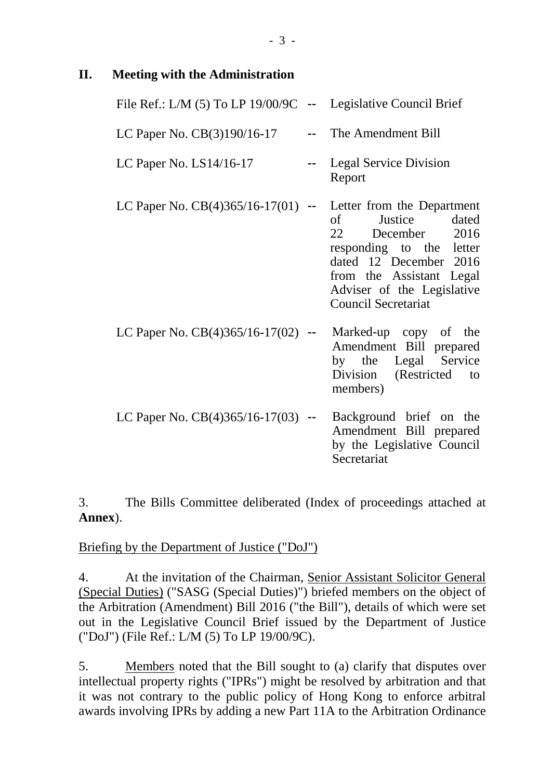# **II. Meeting with the Administration**

| File Ref.: L/M (5) To LP 19/00/9C -- Legislative Council Brief |        |                                                                                                                                                                                                                              |
|----------------------------------------------------------------|--------|------------------------------------------------------------------------------------------------------------------------------------------------------------------------------------------------------------------------------|
| LC Paper No. $CB(3)190/16-17$                                  |        | The Amendment Bill                                                                                                                                                                                                           |
| LC Paper No. $LS14/16-17$                                      |        | <b>Legal Service Division</b><br>Report                                                                                                                                                                                      |
| LC Paper No. $CB(4)365/16-17(01)$ -                            |        | Letter from the Department<br>Justice dated<br>$\sigma$ of<br>22 December 2016<br>responding to the letter<br>dated 12 December 2016<br>from the Assistant Legal<br>Adviser of the Legislative<br><b>Council Secretariat</b> |
| LC Paper No. $CB(4)365/16-17(02)$                              |        | Marked-up copy of the<br>Amendment Bill prepared<br>by the Legal Service<br>Division (Restricted)<br>to<br>members)                                                                                                          |
| LC Paper No. $CB(4)365/16-17(03)$                              | $\sim$ | Background brief on the<br>Amendment Bill prepared<br>by the Legislative Council<br>Secretariat                                                                                                                              |

3. The Bills Committee deliberated (Index of proceedings attached at **Annex**).

# Briefing by the Department of Justice ("DoJ")

4. At the invitation of the Chairman, Senior Assistant Solicitor General (Special Duties) ("SASG (Special Duties)") briefed members on the object of the Arbitration (Amendment) Bill 2016 ("the Bill"), details of which were set out in the Legislative Council Brief issued by the Department of Justice ("DoJ") (File Ref.: L/M (5) To LP 19/00/9C).

5. Members noted that the Bill sought to (a) clarify that disputes over intellectual property rights ("IPRs") might be resolved by arbitration and that it was not contrary to the public policy of Hong Kong to enforce arbitral awards involving IPRs by adding a new Part 11A to the Arbitration Ordinance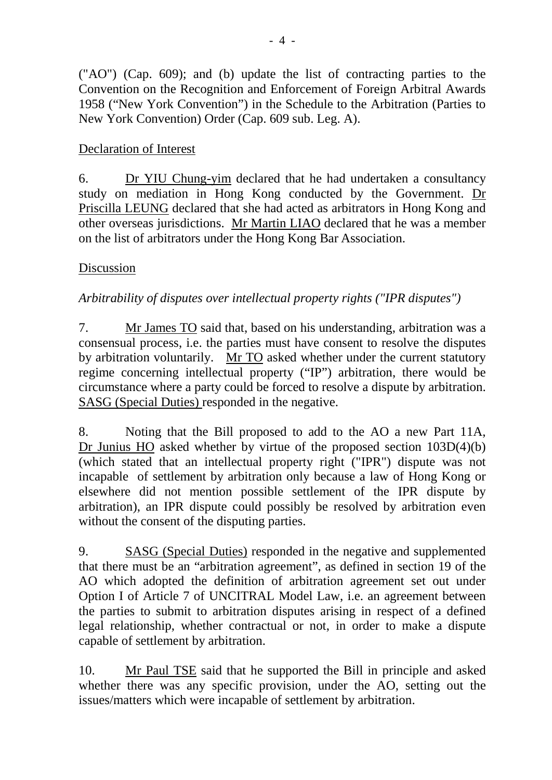("AO") (Cap. 609); and (b) update the list of contracting parties to the Convention on the Recognition and Enforcement of Foreign Arbitral Awards 1958 ("New York Convention") in the Schedule to the Arbitration (Parties to New York Convention) Order (Cap. 609 sub. Leg. A).

# Declaration of Interest

6. Dr YIU Chung-yim declared that he had undertaken a consultancy study on mediation in Hong Kong conducted by the Government. Dr Priscilla LEUNG declared that she had acted as arbitrators in Hong Kong and other overseas jurisdictions. Mr Martin LIAO declared that he was a member on the list of arbitrators under the Hong Kong Bar Association.

# Discussion

# *Arbitrability of disputes over intellectual property rights ("IPR disputes")*

7. Mr James TO said that, based on his understanding, arbitration was a consensual process, i.e. the parties must have consent to resolve the disputes by arbitration voluntarily. Mr TO asked whether under the current statutory regime concerning intellectual property ("IP") arbitration, there would be circumstance where a party could be forced to resolve a dispute by arbitration. SASG (Special Duties) responded in the negative.

8. Noting that the Bill proposed to add to the AO a new Part 11A, Dr Junius HO asked whether by virtue of the proposed section 103D(4)(b) (which stated that an intellectual property right ("IPR") dispute was not incapable of settlement by arbitration only because a law of Hong Kong or elsewhere did not mention possible settlement of the IPR dispute by arbitration), an IPR dispute could possibly be resolved by arbitration even without the consent of the disputing parties.

9. SASG (Special Duties) responded in the negative and supplemented that there must be an "arbitration agreement", as defined in section 19 of the AO which adopted the definition of arbitration agreement set out under Option I of Article 7 of UNCITRAL Model Law, i.e. an agreement between the parties to submit to arbitration disputes arising in respect of a defined legal relationship, whether contractual or not, in order to make a dispute capable of settlement by arbitration.

10. Mr Paul TSE said that he supported the Bill in principle and asked whether there was any specific provision, under the AO, setting out the issues/matters which were incapable of settlement by arbitration.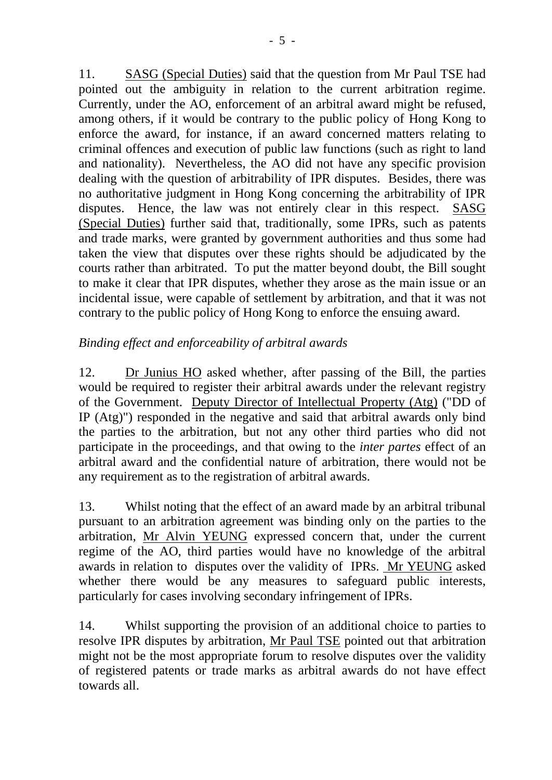11. SASG (Special Duties) said that the question from Mr Paul TSE had pointed out the ambiguity in relation to the current arbitration regime. Currently, under the AO, enforcement of an arbitral award might be refused, among others, if it would be contrary to the public policy of Hong Kong to enforce the award, for instance, if an award concerned matters relating to criminal offences and execution of public law functions (such as right to land and nationality). Nevertheless, the AO did not have any specific provision dealing with the question of arbitrability of IPR disputes. Besides, there was no authoritative judgment in Hong Kong concerning the arbitrability of IPR disputes. Hence, the law was not entirely clear in this respect. SASG (Special Duties) further said that, traditionally, some IPRs, such as patents and trade marks, were granted by government authorities and thus some had taken the view that disputes over these rights should be adjudicated by the courts rather than arbitrated. To put the matter beyond doubt, the Bill sought to make it clear that IPR disputes, whether they arose as the main issue or an incidental issue, were capable of settlement by arbitration, and that it was not contrary to the public policy of Hong Kong to enforce the ensuing award.

# *Binding effect and enforceability of arbitral awards*

12. Dr Junius HO asked whether, after passing of the Bill, the parties would be required to register their arbitral awards under the relevant registry of the Government. Deputy Director of Intellectual Property (Atg) ("DD of IP (Atg)") responded in the negative and said that arbitral awards only bind the parties to the arbitration, but not any other third parties who did not participate in the proceedings, and that owing to the *inter partes* effect of an arbitral award and the confidential nature of arbitration, there would not be any requirement as to the registration of arbitral awards.

13. Whilst noting that the effect of an award made by an arbitral tribunal pursuant to an arbitration agreement was binding only on the parties to the arbitration, Mr Alvin YEUNG expressed concern that, under the current regime of the AO, third parties would have no knowledge of the arbitral awards in relation to disputes over the validity of IPRs. Mr YEUNG asked whether there would be any measures to safeguard public interests, particularly for cases involving secondary infringement of IPRs.

14. Whilst supporting the provision of an additional choice to parties to resolve IPR disputes by arbitration, Mr Paul TSE pointed out that arbitration might not be the most appropriate forum to resolve disputes over the validity of registered patents or trade marks as arbitral awards do not have effect towards all.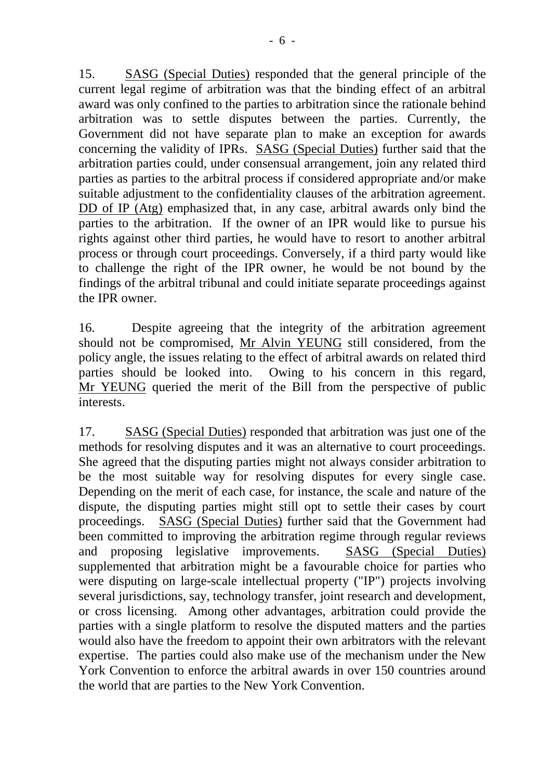15. SASG (Special Duties) responded that the general principle of the current legal regime of arbitration was that the binding effect of an arbitral award was only confined to the parties to arbitration since the rationale behind arbitration was to settle disputes between the parties. Currently, the Government did not have separate plan to make an exception for awards concerning the validity of IPRs. SASG (Special Duties) further said that the arbitration parties could, under consensual arrangement, join any related third parties as parties to the arbitral process if considered appropriate and/or make suitable adjustment to the confidentiality clauses of the arbitration agreement. DD of IP (Atg) emphasized that, in any case, arbitral awards only bind the parties to the arbitration. If the owner of an IPR would like to pursue his rights against other third parties, he would have to resort to another arbitral process or through court proceedings. Conversely, if a third party would like to challenge the right of the IPR owner, he would be not bound by the findings of the arbitral tribunal and could initiate separate proceedings against the IPR owner.

16. Despite agreeing that the integrity of the arbitration agreement should not be compromised, Mr Alvin YEUNG still considered, from the policy angle, the issues relating to the effect of arbitral awards on related third parties should be looked into. Owing to his concern in this regard, Mr YEUNG queried the merit of the Bill from the perspective of public interests.

17. SASG (Special Duties) responded that arbitration was just one of the methods for resolving disputes and it was an alternative to court proceedings. She agreed that the disputing parties might not always consider arbitration to be the most suitable way for resolving disputes for every single case. Depending on the merit of each case, for instance, the scale and nature of the dispute, the disputing parties might still opt to settle their cases by court proceedings. SASG (Special Duties) further said that the Government had been committed to improving the arbitration regime through regular reviews and proposing legislative improvements. SASG (Special Duties) supplemented that arbitration might be a favourable choice for parties who were disputing on large-scale intellectual property ("IP") projects involving several jurisdictions, say, technology transfer, joint research and development, or cross licensing. Among other advantages, arbitration could provide the parties with a single platform to resolve the disputed matters and the parties would also have the freedom to appoint their own arbitrators with the relevant expertise. The parties could also make use of the mechanism under the New York Convention to enforce the arbitral awards in over [150 countries](http://www.uncitral.org/uncitral/en/uncitral_texts/arbitration/NYConvention_status.html) around the world that are parties to the New York Convention.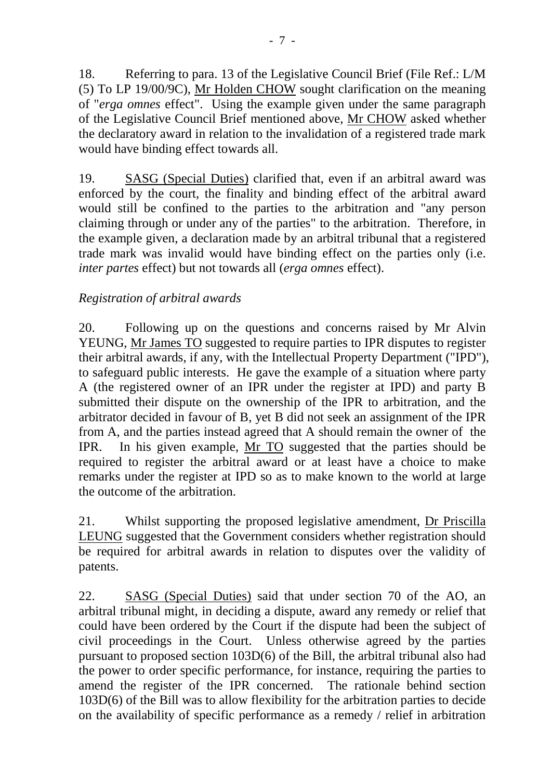18. Referring to para. 13 of the Legislative Council Brief (File Ref.: L/M (5) To LP 19/00/9C), Mr Holden CHOW sought clarification on the meaning of "*erga omnes* effect". Using the example given under the same paragraph of the Legislative Council Brief mentioned above, Mr CHOW asked whether the declaratory award in relation to the invalidation of a registered trade mark would have binding effect towards all.

19. SASG (Special Duties) clarified that, even if an arbitral award was enforced by the court, the finality and binding effect of the arbitral award would still be confined to the parties to the arbitration and "any person claiming through or under any of the parties" to the arbitration. Therefore, in the example given, a declaration made by an arbitral tribunal that a registered trade mark was invalid would have binding effect on the parties only (i.e. *inter partes* effect) but not towards all (*erga omnes* effect).

# *Registration of arbitral awards*

20. Following up on the questions and concerns raised by Mr Alvin YEUNG, Mr James TO suggested to require parties to IPR disputes to register their arbitral awards, if any, with the Intellectual Property Department ("IPD"), to safeguard public interests. He gave the example of a situation where party A (the registered owner of an IPR under the register at IPD) and party B submitted their dispute on the ownership of the IPR to arbitration, and the arbitrator decided in favour of B, yet B did not seek an assignment of the IPR from A, and the parties instead agreed that A should remain the owner of the IPR. In his given example, Mr TO suggested that the parties should be required to register the arbitral award or at least have a choice to make remarks under the register at IPD so as to make known to the world at large the outcome of the arbitration.

21. Whilst supporting the proposed legislative amendment, Dr Priscilla LEUNG suggested that the Government considers whether registration should be required for arbitral awards in relation to disputes over the validity of patents.

22. SASG (Special Duties) said that under section 70 of the AO, an arbitral tribunal might, in deciding a dispute, award any remedy or relief that could have been ordered by the Court if the dispute had been the subject of civil proceedings in the Court. Unless otherwise agreed by the parties pursuant to proposed section 103D(6) of the Bill, the arbitral tribunal also had the power to order specific performance, for instance, requiring the parties to amend the register of the IPR concerned. The rationale behind section 103D(6) of the Bill was to allow flexibility for the arbitration parties to decide on the availability of specific performance as a remedy / relief in arbitration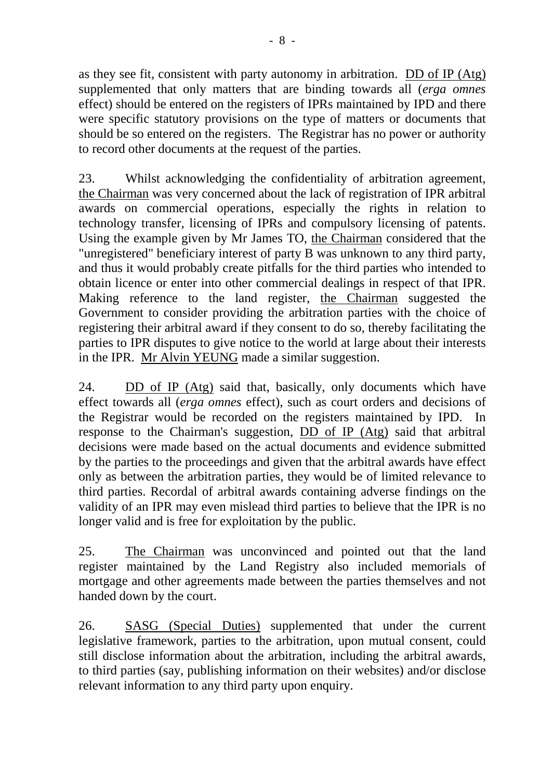as they see fit, consistent with party autonomy in arbitration. DD of IP (Atg) supplemented that only matters that are binding towards all (*erga omnes* effect) should be entered on the registers of IPRs maintained by IPD and there were specific statutory provisions on the type of matters or documents that should be so entered on the registers. The Registrar has no power or authority to record other documents at the request of the parties.

23. Whilst acknowledging the confidentiality of arbitration agreement, the Chairman was very concerned about the lack of registration of IPR arbitral awards on commercial operations, especially the rights in relation to technology transfer, licensing of IPRs and compulsory licensing of patents. Using the example given by Mr James TO, the Chairman considered that the "unregistered" beneficiary interest of party B was unknown to any third party, and thus it would probably create pitfalls for the third parties who intended to obtain licence or enter into other commercial dealings in respect of that IPR. Making reference to the land register, the Chairman suggested the Government to consider providing the arbitration parties with the choice of registering their arbitral award if they consent to do so, thereby facilitating the parties to IPR disputes to give notice to the world at large about their interests in the IPR. Mr Alvin YEUNG made a similar suggestion.

24. DD of IP (Atg) said that, basically, only documents which have effect towards all (*erga omnes* effect), such as court orders and decisions of the Registrar would be recorded on the registers maintained by IPD. In response to the Chairman's suggestion, DD of IP (Atg) said that arbitral decisions were made based on the actual documents and evidence submitted by the parties to the proceedings and given that the arbitral awards have effect only as between the arbitration parties, they would be of limited relevance to third parties. Recordal of arbitral awards containing adverse findings on the validity of an IPR may even mislead third parties to believe that the IPR is no longer valid and is free for exploitation by the public.

25. The Chairman was unconvinced and pointed out that the land register maintained by the Land Registry also included memorials of mortgage and other agreements made between the parties themselves and not handed down by the court.

26. SASG (Special Duties) supplemented that under the current legislative framework, parties to the arbitration, upon mutual consent, could still disclose information about the arbitration, including the arbitral awards, to third parties (say, publishing information on their websites) and/or disclose relevant information to any third party upon enquiry.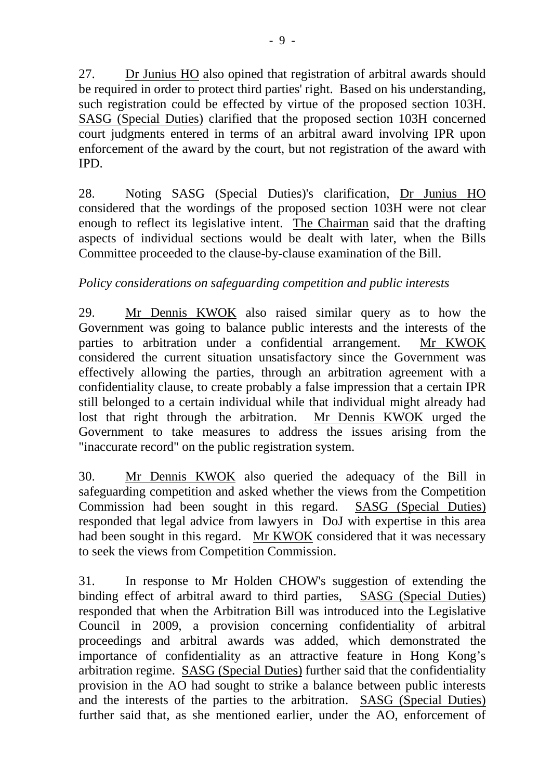27. Dr Junius HO also opined that registration of arbitral awards should be required in order to protect third parties' right. Based on his understanding, such registration could be effected by virtue of the proposed section 103H. SASG (Special Duties) clarified that the proposed section 103H concerned court judgments entered in terms of an arbitral award involving IPR upon enforcement of the award by the court, but not registration of the award with IPD.

28. Noting SASG (Special Duties)'s clarification, Dr Junius HO considered that the wordings of the proposed section 103H were not clear enough to reflect its legislative intent. The Chairman said that the drafting aspects of individual sections would be dealt with later, when the Bills Committee proceeded to the clause-by-clause examination of the Bill.

# *Policy considerations on safeguarding competition and public interests*

29. Mr Dennis KWOK also raised similar query as to how the Government was going to balance public interests and the interests of the parties to arbitration under a confidential arrangement. Mr KWOK considered the current situation unsatisfactory since the Government was effectively allowing the parties, through an arbitration agreement with a confidentiality clause, to create probably a false impression that a certain IPR still belonged to a certain individual while that individual might already had lost that right through the arbitration. Mr Dennis KWOK urged the Government to take measures to address the issues arising from the "inaccurate record" on the public registration system.

30. Mr Dennis KWOK also queried the adequacy of the Bill in safeguarding competition and asked whether the views from the Competition Commission had been sought in this regard. SASG (Special Duties) responded that legal advice from lawyers in DoJ with expertise in this area had been sought in this regard. Mr KWOK considered that it was necessary to seek the views from Competition Commission.

31. In response to Mr Holden CHOW's suggestion of extending the binding effect of arbitral award to third parties, SASG (Special Duties) responded that when the Arbitration Bill was introduced into the Legislative Council in 2009, a provision concerning confidentiality of arbitral proceedings and arbitral awards was added, which demonstrated the importance of confidentiality as an attractive feature in Hong Kong's arbitration regime. SASG (Special Duties) further said that the confidentiality provision in the AO had sought to strike a balance between public interests and the interests of the parties to the arbitration. SASG (Special Duties) further said that, as she mentioned earlier, under the AO, enforcement of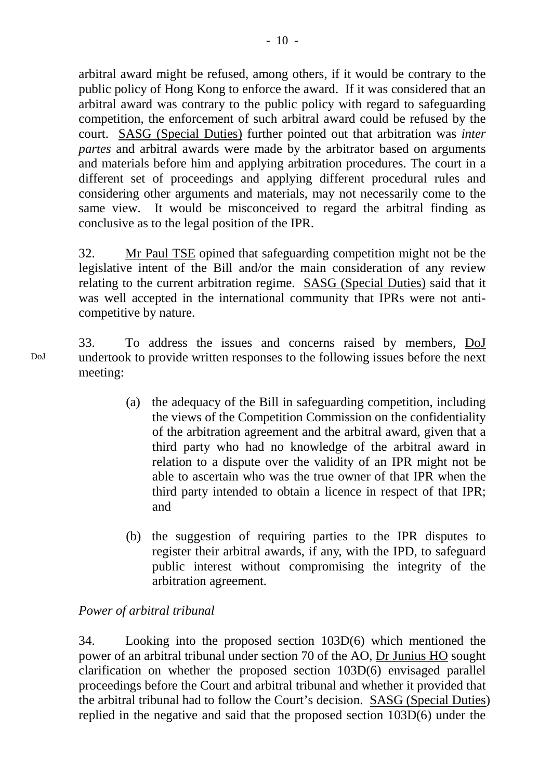arbitral award might be refused, among others, if it would be contrary to the public policy of Hong Kong to enforce the award. If it was considered that an arbitral award was contrary to the public policy with regard to safeguarding competition, the enforcement of such arbitral award could be refused by the court. SASG (Special Duties) further pointed out that arbitration was *inter partes* and arbitral awards were made by the arbitrator based on arguments and materials before him and applying arbitration procedures. The court in a different set of proceedings and applying different procedural rules and considering other arguments and materials, may not necessarily come to the same view. It would be misconceived to regard the arbitral finding as conclusive as to the legal position of the IPR.

32. Mr Paul TSE opined that safeguarding competition might not be the legislative intent of the Bill and/or the main consideration of any review relating to the current arbitration regime. SASG (Special Duties) said that it was well accepted in the international community that IPRs were not anticompetitive by nature.

33. To address the issues and concerns raised by members, DoJ undertook to provide written responses to the following issues before the next meeting:

- (a) the adequacy of the Bill in safeguarding competition, including the views of the Competition Commission on the confidentiality of the arbitration agreement and the arbitral award, given that a third party who had no knowledge of the arbitral award in relation to a dispute over the validity of an IPR might not be able to ascertain who was the true owner of that IPR when the third party intended to obtain a licence in respect of that IPR; and
- (b) the suggestion of requiring parties to the IPR disputes to register their arbitral awards, if any, with the IPD, to safeguard public interest without compromising the integrity of the arbitration agreement.

# *Power of arbitral tribunal*

34. Looking into the proposed section 103D(6) which mentioned the power of an arbitral tribunal under section 70 of the AO, Dr Junius HO sought clarification on whether the proposed section 103D(6) envisaged parallel proceedings before the Court and arbitral tribunal and whether it provided that the arbitral tribunal had to follow the Court's decision. SASG (Special Duties) replied in the negative and said that the proposed section 103D(6) under the

DoJ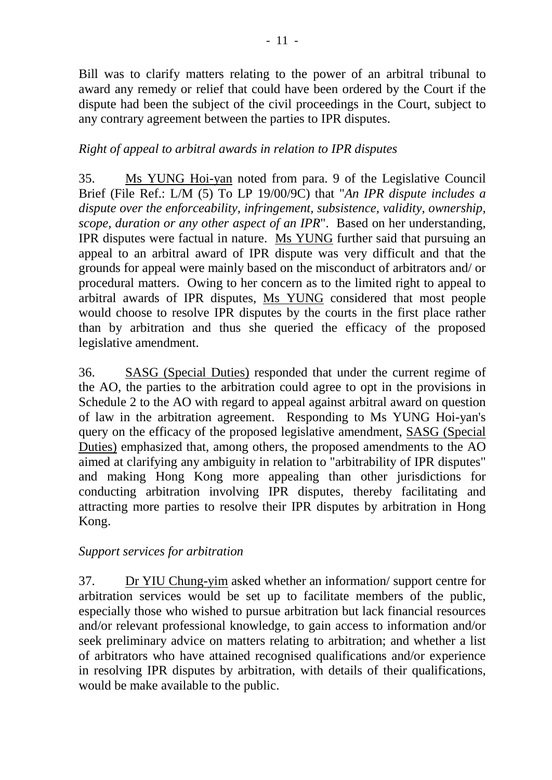Bill was to clarify matters relating to the power of an arbitral tribunal to award any remedy or relief that could have been ordered by the Court if the dispute had been the subject of the civil proceedings in the Court, subject to any contrary agreement between the parties to IPR disputes.

# *Right of appeal to arbitral awards in relation to IPR disputes*

35. Ms YUNG Hoi-yan noted from para. 9 of the Legislative Council Brief (File Ref.: L/M (5) To LP 19/00/9C) that "*An IPR dispute includes a dispute over the enforceability, infringement, subsistence, validity, ownership, scope, duration or any other aspect of an IPR*". Based on her understanding, IPR disputes were factual in nature. Ms YUNG further said that pursuing an appeal to an arbitral award of IPR dispute was very difficult and that the grounds for appeal were mainly based on the misconduct of arbitrators and/ or procedural matters. Owing to her concern as to the limited right to appeal to arbitral awards of IPR disputes, Ms YUNG considered that most people would choose to resolve IPR disputes by the courts in the first place rather than by arbitration and thus she queried the efficacy of the proposed legislative amendment.

36. SASG (Special Duties) responded that under the current regime of the AO, the parties to the arbitration could agree to opt in the provisions in Schedule 2 to the AO with regard to appeal against arbitral award on question of law in the arbitration agreement. Responding to Ms YUNG Hoi-yan's query on the efficacy of the proposed legislative amendment, SASG (Special Duties) emphasized that, among others, the proposed amendments to the AO aimed at clarifying any ambiguity in relation to "arbitrability of IPR disputes" and making Hong Kong more appealing than other jurisdictions for conducting arbitration involving IPR disputes, thereby facilitating and attracting more parties to resolve their IPR disputes by arbitration in Hong Kong.

# *Support services for arbitration*

37. Dr YIU Chung-yim asked whether an information/ support centre for arbitration services would be set up to facilitate members of the public, especially those who wished to pursue arbitration but lack financial resources and/or relevant professional knowledge, to gain access to information and/or seek preliminary advice on matters relating to arbitration; and whether a list of arbitrators who have attained recognised qualifications and/or experience in resolving IPR disputes by arbitration, with details of their qualifications, would be make available to the public.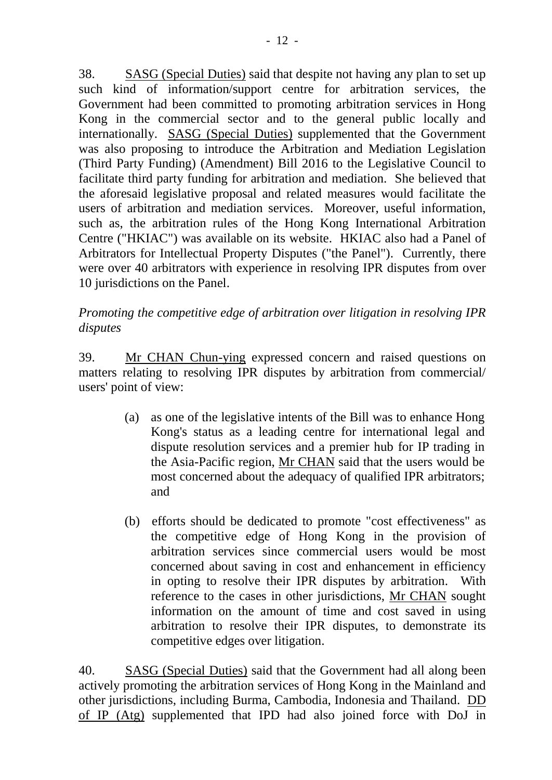38. SASG (Special Duties) said that despite not having any plan to set up such kind of information/support centre for arbitration services, the Government had been committed to promoting arbitration services in Hong Kong in the commercial sector and to the general public locally and internationally. SASG (Special Duties) supplemented that the Government was also proposing to introduce the Arbitration and Mediation Legislation (Third Party Funding) (Amendment) Bill 2016 to the Legislative Council to facilitate third party funding for arbitration and mediation. She believed that the aforesaid legislative proposal and related measures would facilitate the users of arbitration and mediation services. Moreover, useful information, such as, the arbitration rules of the Hong Kong International Arbitration Centre ("HKIAC") was available on its website. HKIAC also had a Panel of Arbitrators for Intellectual Property Disputes ("the Panel"). Currently, there were over 40 arbitrators with experience in resolving IPR disputes from over 10 jurisdictions on the Panel.

*Promoting the competitive edge of arbitration over litigation in resolving IPR disputes*

39. Mr CHAN Chun-ying expressed concern and raised questions on matters relating to resolving IPR disputes by arbitration from commercial/ users' point of view:

- (a) as one of the legislative intents of the Bill was to enhance Hong Kong's status as a leading centre for international legal and dispute resolution services and a premier hub for IP trading in the Asia-Pacific region, Mr CHAN said that the users would be most concerned about the adequacy of qualified IPR arbitrators; and
- (b) efforts should be dedicated to promote "cost effectiveness" as the competitive edge of Hong Kong in the provision of arbitration services since commercial users would be most concerned about saving in cost and enhancement in efficiency in opting to resolve their IPR disputes by arbitration. With reference to the cases in other jurisdictions, Mr CHAN sought information on the amount of time and cost saved in using arbitration to resolve their IPR disputes, to demonstrate its competitive edges over litigation.

40. SASG (Special Duties) said that the Government had all along been actively promoting the arbitration services of Hong Kong in the Mainland and other jurisdictions, including Burma, Cambodia, Indonesia and Thailand. DD of IP (Atg) supplemented that IPD had also joined force with DoJ in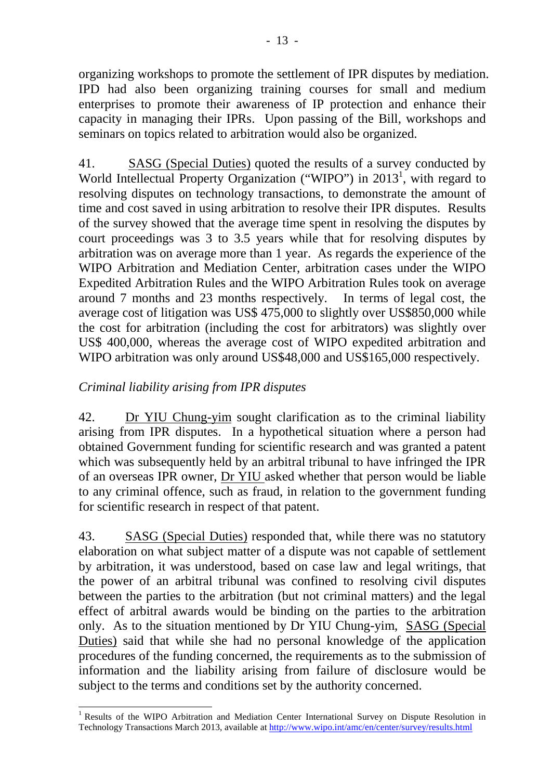organizing workshops to promote the settlement of IPR disputes by mediation. IPD had also been organizing training courses for small and medium enterprises to promote their awareness of IP protection and enhance their capacity in managing their IPRs. Upon passing of the Bill, workshops and seminars on topics related to arbitration would also be organized.

41. SASG (Special Duties) quoted the results of a survey conducted by World Intellectual Property Organization ("WIPO") in 2013<sup>1</sup>, with regard to resolving disputes on technology transactions, to demonstrate the amount of time and cost saved in using arbitration to resolve their IPR disputes. Results of the survey showed that the average time spent in resolving the disputes by court proceedings was 3 to 3.5 years while that for resolving disputes by arbitration was on average more than 1 year. As regards the experience of the WIPO Arbitration and Mediation Center, arbitration cases under the WIPO Expedited Arbitration Rules and the WIPO Arbitration Rules took on average around 7 months and 23 months respectively. In terms of legal cost, the average cost of litigation was US\$ 475,000 to slightly over US\$850,000 while the cost for arbitration (including the cost for arbitrators) was slightly over US\$ 400,000, whereas the average cost of WIPO expedited arbitration and WIPO arbitration was only around US\$48,000 and US\$165,000 respectively.

# *Criminal liability arising from IPR disputes*

42. Dr YIU Chung-yim sought clarification as to the criminal liability arising from IPR disputes. In a hypothetical situation where a person had obtained Government funding for scientific research and was granted a patent which was subsequently held by an arbitral tribunal to have infringed the IPR of an overseas IPR owner, Dr YIU asked whether that person would be liable to any criminal offence, such as fraud, in relation to the government funding for scientific research in respect of that patent.

43. SASG (Special Duties) responded that, while there was no statutory elaboration on what subject matter of a dispute was not capable of settlement by arbitration, it was understood, based on case law and legal writings, that the power of an arbitral tribunal was confined to resolving civil disputes between the parties to the arbitration (but not criminal matters) and the legal effect of arbitral awards would be binding on the parties to the arbitration only. As to the situation mentioned by Dr YIU Chung-yim, SASG (Special Duties) said that while she had no personal knowledge of the application procedures of the funding concerned, the requirements as to the submission of information and the liability arising from failure of disclosure would be subject to the terms and conditions set by the authority concerned.

<sup>&</sup>lt;sup>1</sup> Results of the WIPO Arbitration and Mediation Center International Survey on Dispute Resolution in Technology Transactions March 2013, available at<http://www.wipo.int/amc/en/center/survey/results.html>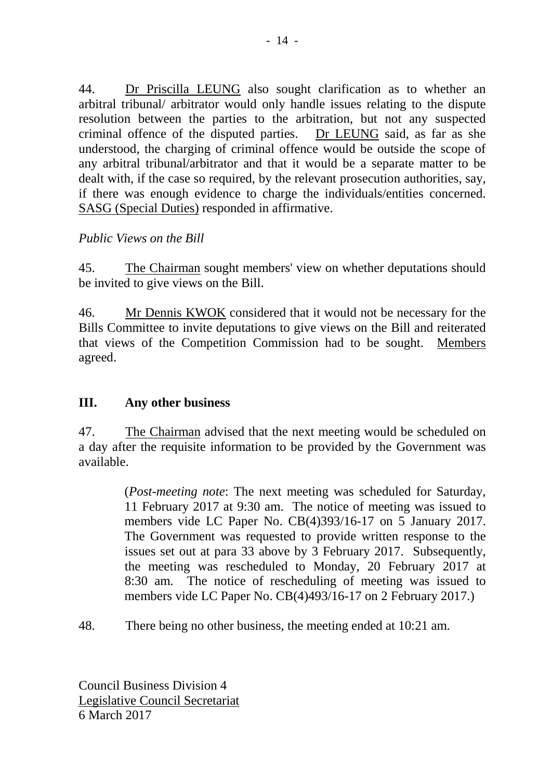44. Dr Priscilla LEUNG also sought clarification as to whether an arbitral tribunal/ arbitrator would only handle issues relating to the dispute resolution between the parties to the arbitration, but not any suspected criminal offence of the disputed parties. Dr LEUNG said, as far as she understood, the charging of criminal offence would be outside the scope of any arbitral tribunal/arbitrator and that it would be a separate matter to be dealt with, if the case so required, by the relevant prosecution authorities, say, if there was enough evidence to charge the individuals/entities concerned. SASG (Special Duties) responded in affirmative.

#### *Public Views on the Bill*

45. The Chairman sought members' view on whether deputations should be invited to give views on the Bill.

46. Mr Dennis KWOK considered that it would not be necessary for the Bills Committee to invite deputations to give views on the Bill and reiterated that views of the Competition Commission had to be sought. Members agreed.

# **III. Any other business**

47. The Chairman advised that the next meeting would be scheduled on a day after the requisite information to be provided by the Government was available.

> (*Post-meeting note*: The next meeting was scheduled for Saturday, 11 February 2017 at 9:30 am. The notice of meeting was issued to members vide LC Paper No. CB(4)393/16-17 on 5 January 2017. The Government was requested to provide written response to the issues set out at para 33 above by 3 February 2017. Subsequently, the meeting was rescheduled to Monday, 20 February 2017 at 8:30 am. The notice of rescheduling of meeting was issued to members vide LC Paper No. CB(4)493/16-17 on 2 February 2017.)

48. There being no other business, the meeting ended at 10:21 am.

Council Business Division 4 Legislative Council Secretariat 6 March 2017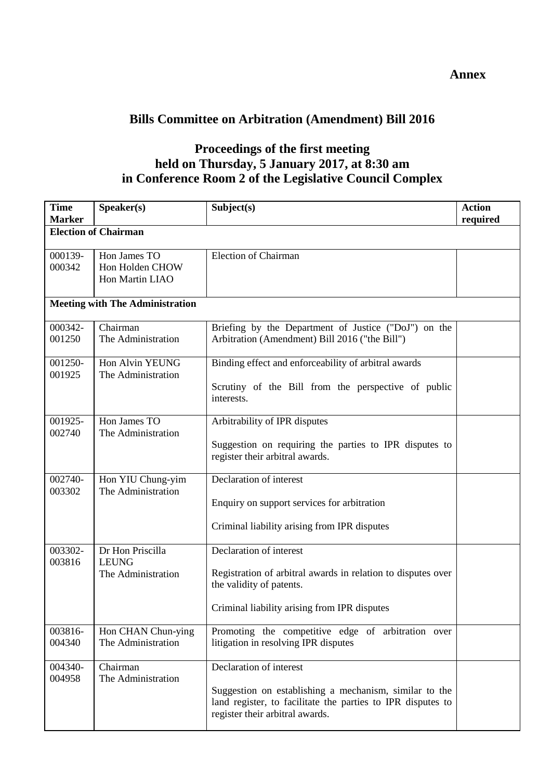# **Bills Committee on Arbitration (Amendment) Bill 2016**

#### **Proceedings of the first meeting held on Thursday, 5 January 2017, at 8:30 am in Conference Room 2 of the Legislative Council Complex**

| <b>Time</b><br><b>Marker</b> | Speaker(s)                                             | Subject(s)                                                                                                                                                                          | <b>Action</b><br>required |
|------------------------------|--------------------------------------------------------|-------------------------------------------------------------------------------------------------------------------------------------------------------------------------------------|---------------------------|
|                              | <b>Election of Chairman</b>                            |                                                                                                                                                                                     |                           |
| 000139-<br>000342            | Hon James TO<br>Hon Holden CHOW<br>Hon Martin LIAO     | <b>Election of Chairman</b>                                                                                                                                                         |                           |
|                              | <b>Meeting with The Administration</b>                 |                                                                                                                                                                                     |                           |
| 000342-<br>001250            | Chairman<br>The Administration                         | Briefing by the Department of Justice ("DoJ") on the<br>Arbitration (Amendment) Bill 2016 ("the Bill")                                                                              |                           |
| 001250-<br>001925            | Hon Alvin YEUNG<br>The Administration                  | Binding effect and enforceability of arbitral awards<br>Scrutiny of the Bill from the perspective of public<br>interests.                                                           |                           |
| 001925-<br>002740            | Hon James TO<br>The Administration                     | Arbitrability of IPR disputes<br>Suggestion on requiring the parties to IPR disputes to<br>register their arbitral awards.                                                          |                           |
| 002740-<br>003302            | Hon YIU Chung-yim<br>The Administration                | Declaration of interest<br>Enquiry on support services for arbitration<br>Criminal liability arising from IPR disputes                                                              |                           |
| 003302-<br>003816            | Dr Hon Priscilla<br><b>LEUNG</b><br>The Administration | Declaration of interest<br>Registration of arbitral awards in relation to disputes over<br>the validity of patents.<br>Criminal liability arising from IPR disputes                 |                           |
| 003816-<br>004340            | Hon CHAN Chun-ying<br>The Administration               | Promoting the competitive edge of arbitration over<br>litigation in resolving IPR disputes                                                                                          |                           |
| 004340-<br>004958            | Chairman<br>The Administration                         | Declaration of interest<br>Suggestion on establishing a mechanism, similar to the<br>land register, to facilitate the parties to IPR disputes to<br>register their arbitral awards. |                           |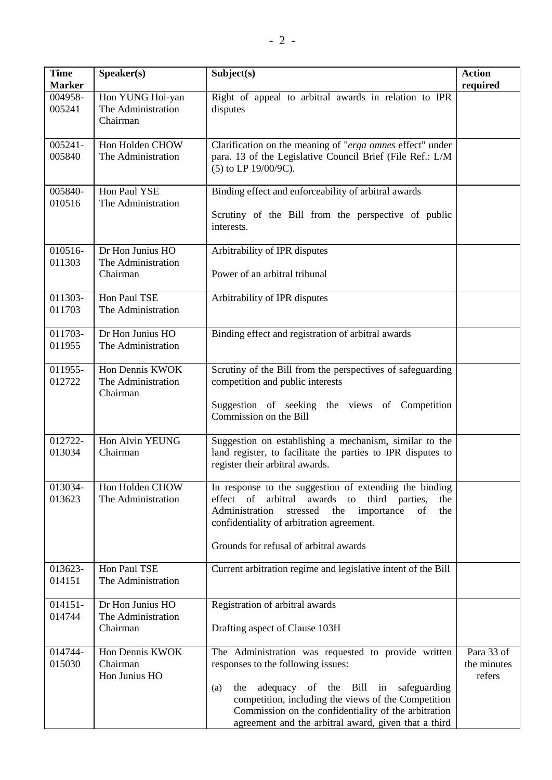| <b>Time</b><br><b>Marker</b> | Speaker(s)                                         | Subject(s)                                                                                                                                                                                                                                                                                                             | <b>Action</b><br>required           |
|------------------------------|----------------------------------------------------|------------------------------------------------------------------------------------------------------------------------------------------------------------------------------------------------------------------------------------------------------------------------------------------------------------------------|-------------------------------------|
| 004958-<br>005241            | Hon YUNG Hoi-yan<br>The Administration<br>Chairman | Right of appeal to arbitral awards in relation to IPR<br>disputes                                                                                                                                                                                                                                                      |                                     |
| 005241-<br>005840            | Hon Holden CHOW<br>The Administration              | Clarification on the meaning of "erga omnes effect" under<br>para. 13 of the Legislative Council Brief (File Ref.: L/M<br>(5) to LP 19/00/9C).                                                                                                                                                                         |                                     |
| 005840-<br>010516            | Hon Paul YSE<br>The Administration                 | Binding effect and enforceability of arbitral awards<br>Scrutiny of the Bill from the perspective of public<br>interests.                                                                                                                                                                                              |                                     |
| 010516-<br>011303            | Dr Hon Junius HO<br>The Administration<br>Chairman | Arbitrability of IPR disputes<br>Power of an arbitral tribunal                                                                                                                                                                                                                                                         |                                     |
| 011303-<br>011703            | Hon Paul TSE<br>The Administration                 | Arbitrability of IPR disputes                                                                                                                                                                                                                                                                                          |                                     |
| 011703-<br>011955            | Dr Hon Junius HO<br>The Administration             | Binding effect and registration of arbitral awards                                                                                                                                                                                                                                                                     |                                     |
| 011955-<br>012722            | Hon Dennis KWOK<br>The Administration<br>Chairman  | Scrutiny of the Bill from the perspectives of safeguarding<br>competition and public interests<br>Suggestion of seeking the views of Competition<br>Commission on the Bill                                                                                                                                             |                                     |
| 012722-<br>013034            | Hon Alvin YEUNG<br>Chairman                        | Suggestion on establishing a mechanism, similar to the<br>land register, to facilitate the parties to IPR disputes to<br>register their arbitral awards.                                                                                                                                                               |                                     |
| 013034-<br>013623            | Hon Holden CHOW<br>The Administration              | In response to the suggestion of extending the binding<br>effect of arbitral<br>awards to third parties,<br>the<br>Administration<br>stressed<br>the<br>the<br>importance<br>of<br>confidentiality of arbitration agreement.<br>Grounds for refusal of arbitral awards                                                 |                                     |
| 013623-<br>014151            | Hon Paul TSE<br>The Administration                 | Current arbitration regime and legislative intent of the Bill                                                                                                                                                                                                                                                          |                                     |
| 014151-<br>014744            | Dr Hon Junius HO<br>The Administration<br>Chairman | Registration of arbitral awards<br>Drafting aspect of Clause 103H                                                                                                                                                                                                                                                      |                                     |
| 014744-<br>015030            | Hon Dennis KWOK<br>Chairman<br>Hon Junius HO       | The Administration was requested to provide written<br>responses to the following issues:<br>adequacy of the Bill in safeguarding<br>the<br>(a)<br>competition, including the views of the Competition<br>Commission on the confidentiality of the arbitration<br>agreement and the arbitral award, given that a third | Para 33 of<br>the minutes<br>refers |